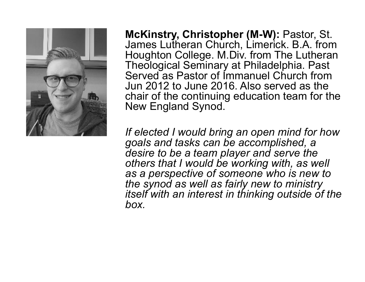

**McKinstry, Christopher (M-W):** Pastor, St. James Lutheran Church, Limerick. B.A. from Houghton College. M.Div. from The Lutheran Theological Seminary at Philadelphia. Past Served as Pastor of Immanuel Church from Jun 2012 to June 2016. Also served as the chair of the continuing education team for the New England Synod.

*If elected I would bring an open mind for how goals and tasks can be accomplished, a desire to be a team player and serve the others that I would be working with, as well as a perspective of someone who is new to the synod as well as fairly new to ministry itself with an interest in thinking outside of the box.*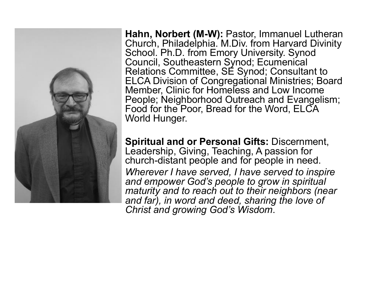

**Hahn, Norbert (M-W):** Pastor, Immanuel Lutheran Church, Philadelphia. M.Div. from Harvard Divinity School. Ph.D. from Emory University. Synod Council, Southeastern Synod; Ecumenical Relations Committee, SE Synod; Consultant to ELCA Division of Congregational Ministries; Board Member, Clinic for Homeless and Low Income People; Neighborhood Outreach and Evangelism; Food for the Poor, Bread for the Word, ELCA World Hunger.

**Spiritual and or Personal Gifts:** Discernment, Leadership, Giving, Teaching, A passion for church-distant people and for people in need. *Wherever I have served, I have served to inspire and empower God's people to grow in spiritual maturity and to reach out to their neighbors (near and far), in word and deed, sharing the love of Christ and growing God's Wisdom*.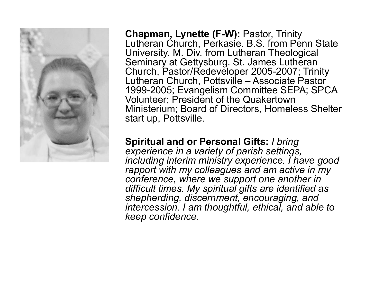

**Chapman, Lynette (F-W):** Pastor, Trinity Lutheran Church, Perkasie. B.S. from Penn State University. M. Div. from Lutheran Theological Seminary at Gettysburg. St. James Lutheran Church, Pastor/Redeveloper 2005-2007; Trinity Lutheran Church, Pottsville – Associate Pastor 1999-2005; Evangelism Committee SEPA; SPCA Volunteer; President of the Quakertown Ministerium; Board of Directors, Homeless Shelter start up, Pottsville.

## **Spiritual and or Personal Gifts:** *I bring*

*experience in a variety of parish settings, including interim ministry experience. I have good rapport with my colleagues and am active in my conference, where we support one another in difficult times. My spiritual gifts are identified as shepherding, discernment, encouraging, and intercession. I am thoughtful, ethical, and able to keep confidence.*